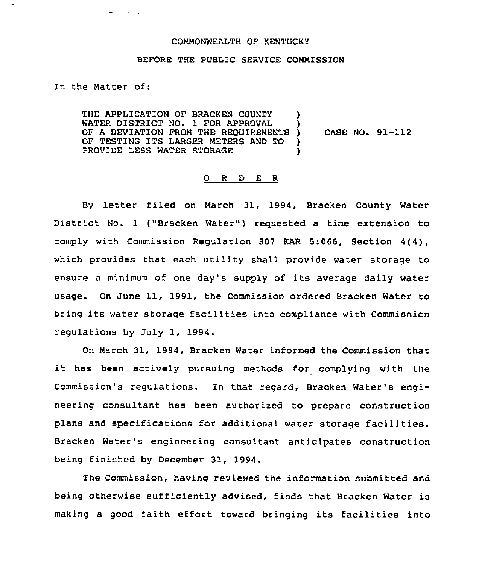## COMMONWEALTH OF KENTUCKY

## BEFORE THE PUBLIC SERVICE COMMISSION

In the Matter of:

where the control

THE APPLICATION OF BRACKEN COUNTY WATER DISTRICT NO. 1 FOR APPROVAL OF A DEVIATION FROM THE REQUIREMENTS )<br>OF TESTING ITS LARGER METERS AND TO ) OF TESTING ITS LARGER METERS AND TO )<br>PROVIDE LESS WATER STORAGE PROVIDE LESS WATER STORAGE CASE NO. 91-112

## O R D E R

By letter filed on March 31, 1994, Bracken County Water District No. 1 ("Bracken Water") requested a time extension to comply with Commission Regulation 807 KAR 5:066, Section 4(4), which provides that each utility shall provide water storage to ensure <sup>a</sup> minimum of one day's supply of its average daily water usage. On June 11, 1991, the Commission ordered Bracken Water to bring its water storage facilities into compliance with Commission regulations by July 1, 1994.

On March 31, 1994, Bracken Water informed the Commission that it has been actively pursuing methods for complying with the Commission's regulations. In that regard, Bracken Water's engineering consultant has been authorized to prepare construction plans and specifications for additional water storage facilities. Bracken Water's engineering consultant anticipates construction being finished by December 31, 1994,

The Commission, having reviewed the information submitted and being otherwise sufficiently advised, finds that Bracken Water is making a good faith effort toward bringing its facilities into